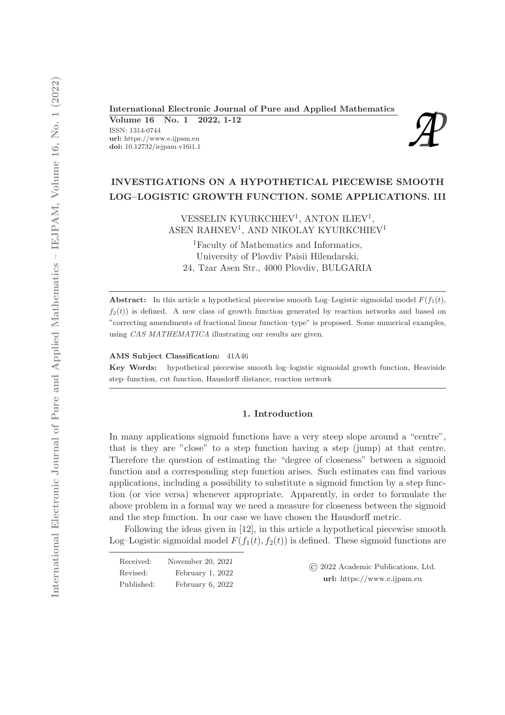# International Electronic Journal of Pure and Applied Mathematics<br>
Volume 16 No. 1 2022, 1-12<br>
ISSN: 1314-0744<br>
url: https://www.e.ijpam.eu<br>
doi: 10.12732/iejpam.v16i1.1

Volume 16 No. 1 2022, 1-12

ISSN: 1314-0744 url: https://www.e.ijpam.eu



# INVESTIGATIONS ON A HYPOTHETICAL PIECEWISE SMOOTH LOG–LOGISTIC GROWTH FUNCTION. SOME APPLICATIONS. III

VESSELIN KYURKCHIEV<sup>1</sup>, ANTON ILIEV<sup>1</sup>, ASEN RAHNEV<sup>1</sup>, AND NIKOLAY KYURKCHIEV<sup>1</sup>

<sup>1</sup>Faculty of Mathematics and Informatics, University of Plovdiv Paisii Hilendarski, 24, Tzar Asen Str., 4000 Plovdiv, BULGARIA

**Abstract:** In this article a hypothetical piecewise smooth Log–Logistic sigmoidal model  $F(f_1(t),$  $f_2(t)$ ) is defined. A new class of growth function generated by reaction networks and based on "correcting amendments of fractional linear function–type" is proposed. Some numerical examples, using CAS MATHEMATICA illustrating our results are given.

AMS Subject Classification: 41A46

Key Words: hypothetical piecewise smooth log–logistic sigmoidal growth function, Heaviside step–function, cut function, Hausdorff distance, reaction network

# 1. Introduction

In many applications sigmoid functions have a very steep slope around a "centre", that is they are "close" to a step function having a step (jump) at that centre. Therefore the question of estimating the "degree of closeness" between a sigmoid function and a corresponding step function arises. Such estimates can find various applications, including a possibility to substitute a sigmoid function by a step function (or vice versa) whenever appropriate. Apparently, in order to formulate the above problem in a formal way we need a measure for closeness between the sigmoid and the step function. In our case we have chosen the Hausdorff metric.

Following the ideas given in [12], in this article a hypothetical piecewise smooth Log–Logistic sigmoidal model  $F(f_1(t), f_2(t))$  is defined. These sigmoid functions are

| Received:  | November 20, 2021 | $\circ$ 2022 Academic Publications, Ltd.<br>url: https://www.e.ijpam.eu |
|------------|-------------------|-------------------------------------------------------------------------|
| Revised:   | February 1, 2022  |                                                                         |
| Published: | February 6, 2022  |                                                                         |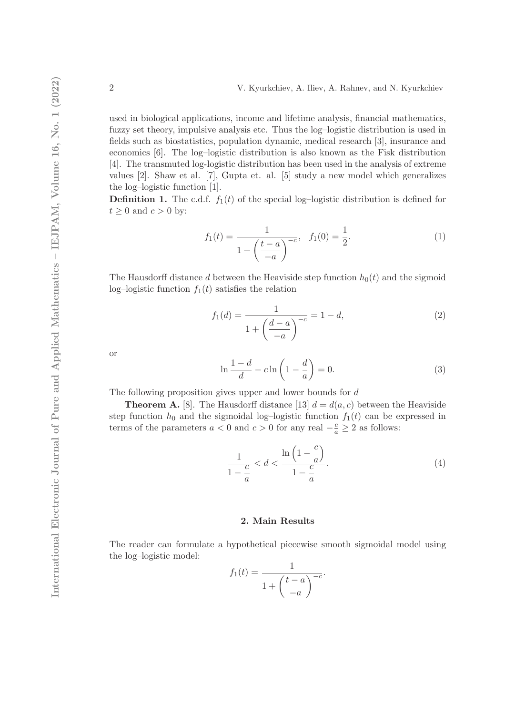used in biological applications, income and lifetime analysis, financial mathematics, fuzzy set theory, impulsive analysis etc. Thus the log–logistic distribution is used in fields such as biostatistics, population dynamic, medical research [3], insurance and economics [6]. The log–logistic distribution is also known as the Fisk distribution [4]. The transmuted log-logistic distribution has been used in the analysis of extreme values [2]. Shaw et al. [7], Gupta et. al. [5] study a new model which generalizes the log–logistic function [1].

**Definition 1.** The c.d.f.  $f_1(t)$  of the special log-logistic distribution is defined for  $t \geq 0$  and  $c > 0$  by:

$$
f_1(t) = \frac{1}{1 + \left(\frac{t - a}{-a}\right)^{-c}}, \quad f_1(0) = \frac{1}{2}.
$$
 (1)

The Hausdorff distance d between the Heaviside step function  $h_0(t)$  and the sigmoid log–logistic function  $f_1(t)$  satisfies the relation

$$
f_1(d) = \frac{1}{1 + \left(\frac{d-a}{-a}\right)^{-c}} = 1 - d,\tag{2}
$$

or

$$
\ln \frac{1-d}{d} - c \ln \left( 1 - \frac{d}{a} \right) = 0. \tag{3}
$$

The following proposition gives upper and lower bounds for d

**Theorem A.** [8]. The Hausdorff distance [13]  $d = d(a, c)$  between the Heaviside step function  $h_0$  and the sigmoidal log–logistic function  $f_1(t)$  can be expressed in terms of the parameters  $a < 0$  and  $c > 0$  for any real  $-\frac{c}{a} \ge 2$  as follows:

$$
\frac{1}{1-\frac{c}{a}} < d < \frac{\ln\left(1-\frac{c}{a}\right)}{1-\frac{c}{a}}.\tag{4}
$$

## 2. Main Results

The reader can formulate a hypothetical piecewise smooth sigmoidal model using the log–logistic model:

$$
f_1(t) = \frac{1}{1 + \left(\frac{t-a}{-a}\right)^{-c}}.
$$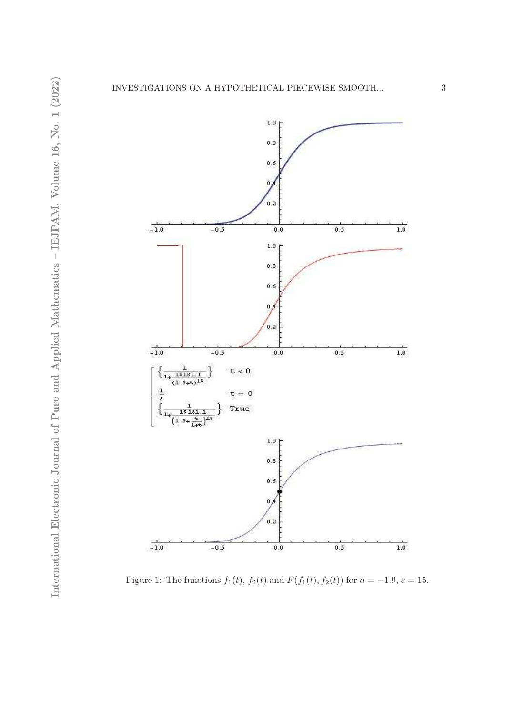

Figure 1: The functions  $f_1(t)$ ,  $f_2(t)$  and  $F(f_1(t), f_2(t))$  for  $a = -1.9, c = 15$ .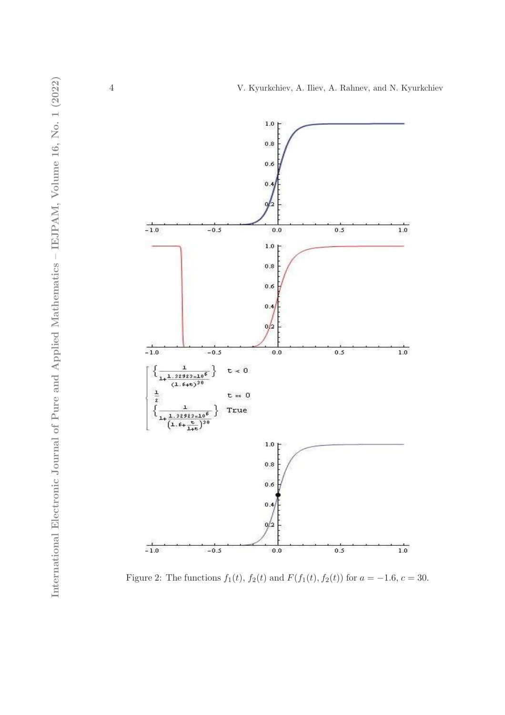

Figure 2: The functions  $f_1(t)$ ,  $f_2(t)$  and  $F(f_1(t), f_2(t))$  for  $a = -1.6, c = 30$ .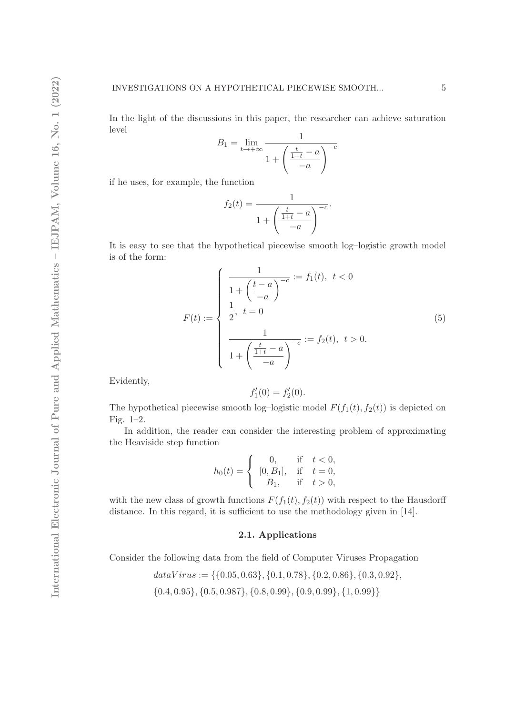In the light of the discussions in this paper, the researcher can achieve saturation level

$$
B_1 = \lim_{t \to +\infty} \frac{1}{1 + \left(\frac{\frac{t}{1+t} - a}{-a}\right)^{-c}}
$$

if he uses, for example, the function

$$
f_2(t) = \frac{1}{1 + \left(\frac{t}{1+t} - a\right)^{-c}}.
$$

It is easy to see that the hypothetical piecewise smooth log–logistic growth model is of the form:

$$
F(t) := \begin{cases} \frac{1}{1 + \left(\frac{t - a}{-a}\right)^{-c}} := f_1(t), \ t < 0\\ \frac{1}{2}, \ t = 0\\ \frac{1}{1 + \left(\frac{t}{1 + t} - a\right)^{-c}} := f_2(t), \ t > 0. \end{cases}
$$
(5)

Evidently,

$$
f_1'(0) = f_2'(0).
$$

The hypothetical piecewise smooth log-logistic model  $F(f_1(t), f_2(t))$  is depicted on Fig. 1–2.

In addition, the reader can consider the interesting problem of approximating the Heaviside step function

$$
h_0(t) = \begin{cases} 0, & \text{if } t < 0, \\ [0, B_1], & \text{if } t = 0, \\ B_1, & \text{if } t > 0, \end{cases}
$$

with the new class of growth functions  $F(f_1(t), f_2(t))$  with respect to the Hausdorff distance. In this regard, it is sufficient to use the methodology given in [14].

# 2.1. Applications

Consider the following data from the field of Computer Viruses Propagation

 $dataVirus := \{\{0.05, 0.63\}, \{0.1, 0.78\}, \{0.2, 0.86\}, \{0.3, 0.92\},\}$  $\{0.4, 0.95\}, \{0.5, 0.987\}, \{0.8, 0.99\}, \{0.9, 0.99\}, \{1, 0.99\}\}$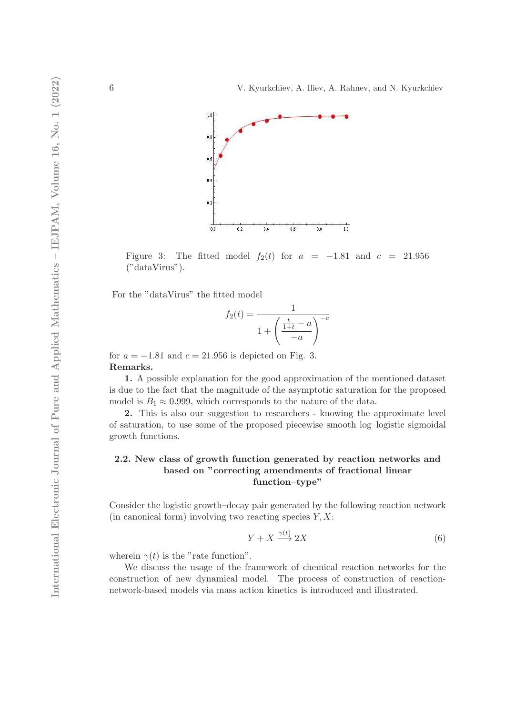

Figure 3: The fitted model  $f_2(t)$  for  $a = -1.81$  and  $c = 21.956$ ("dataVirus").

For the "dataVirus" the fitted model

$$
f_2(t) = \frac{1}{1 + \left(\frac{\frac{t}{1+t} - a}{-a}\right)^{-c}}
$$

for  $a = -1.81$  and  $c = 21.956$  is depicted on Fig. 3. Remarks.

1. A possible explanation for the good approximation of the mentioned dataset is due to the fact that the magnitude of the asymptotic saturation for the proposed model is  $B_1 \approx 0.999$ , which corresponds to the nature of the data.

2. This is also our suggestion to researchers - knowing the approximate level of saturation, to use some of the proposed piecewise smooth log–logistic sigmoidal growth functions.

# 2.2. New class of growth function generated by reaction networks and based on "correcting amendments of fractional linear function–type"

Consider the logistic growth–decay pair generated by the following reaction network (in canonical form) involving two reacting species  $Y, X$ :

 $\sqrt{t}$ 

$$
Y + X \xrightarrow{\gamma(t)} 2X \tag{6}
$$

wherein  $\gamma(t)$  is the "rate function".

We discuss the usage of the framework of chemical reaction networks for the construction of new dynamical model. The process of construction of reactionnetwork-based models via mass action kinetics is introduced and illustrated.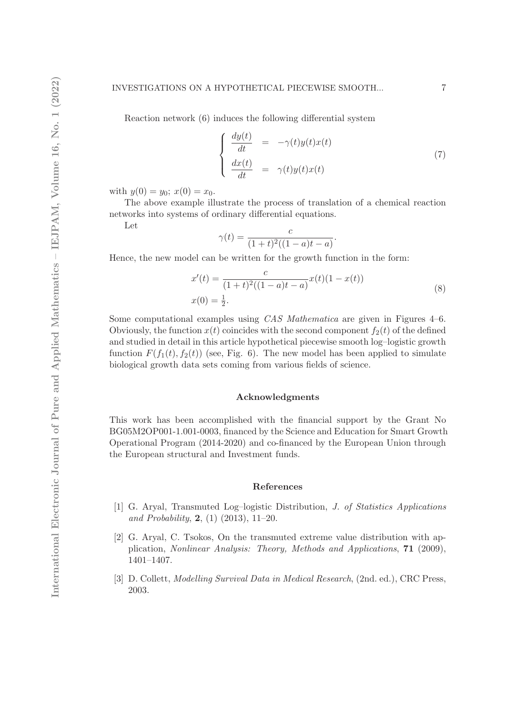Reaction network (6) induces the following differential system

$$
\begin{cases}\n\frac{dy(t)}{dt} = -\gamma(t)y(t)x(t) \\
\frac{dx(t)}{dt} = \gamma(t)y(t)x(t)\n\end{cases} (7)
$$

with  $y(0) = y_0$ ;  $x(0) = x_0$ .

The above example illustrate the process of translation of a chemical reaction networks into systems of ordinary differential equations.

Let

$$
\gamma(t) = \frac{c}{(1+t)^2((1-a)t - a)}.
$$

Hence, the new model can be written for the growth function in the form:

$$
x'(t) = \frac{c}{(1+t)^2((1-a)t-a)}x(t)(1-x(t))
$$
  

$$
x(0) = \frac{1}{2}.
$$
 (8)

Some computational examples using *CAS Mathematica* are given in Figures 4–6. Obviously, the function  $x(t)$  coincides with the second component  $f_2(t)$  of the defined and studied in detail in this article hypothetical piecewise smooth log–logistic growth function  $F(f_1(t), f_2(t))$  (see, Fig. 6). The new model has been applied to simulate biological growth data sets coming from various fields of science.

### Acknowledgments

This work has been accomplished with the financial support by the Grant No BG05M2OP001-1.001-0003, financed by the Science and Education for Smart Growth Operational Program (2014-2020) and co-financed by the European Union through the European structural and Investment funds.

#### References

- [1] G. Aryal, Transmuted Log–logistic Distribution, J. of Statistics Applications and Probability,  $2, (1)$   $(2013), 11-20.$
- [2] G. Aryal, C. Tsokos, On the transmuted extreme value distribution with application, Nonlinear Analysis: Theory, Methods and Applications, 71 (2009), 1401–1407.
- [3] D. Collett, Modelling Survival Data in Medical Research, (2nd. ed.), CRC Press, 2003.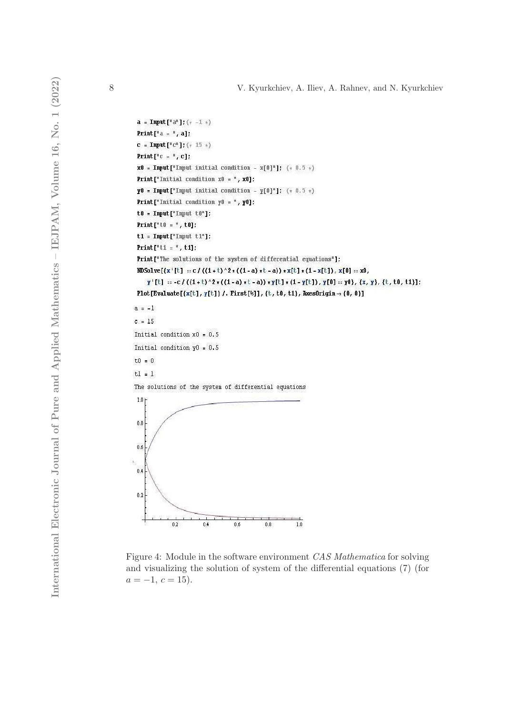```
a = Input["a"]; (* -1 *)
 Print [{}^{\circ}a = {}^{\circ}, a];
 c = Input [{}^nC^n]; (* 15 *)Print [{}^n c = {}^n c];
 x0 = Input["Input initial condition - x[0"]'; (* 0.5*)Print["Initial condition x0 = ", x0]:
 Y0 = Input["Input initial condition - Y[0"]"; (* 0.5 *)
 Print["Initial condition y0 = ", y0]:
 t0 = Input["Input t0"]Print["t0 = ", t0];
 t1 = Input["Input t1"]Print["t1 = ", t1];
 Print["The solutions of the system of differential equations"];
 \texttt{NDSolve}[\{x' [t] :: c / ((1+t)^2 * ((1-a) + t-a)) * x[t] * (1 - x[t]), x[0] :: x0,\gamma'[t] = -c / ((1+t)^2 * ((1-a) * t-a)) * \gamma[t] * (1 - \gamma[t]), \gamma[0] = \gamma0), \{x, y\}, \{t, t0, t1\}Plot [Evaluate [\{x[t], y[t]\} /. First [*]], \{t, t0, t1\}, AxesOrigin \rightarrow {0, 0}]
a = -1c = 15Initial condition x0 = 0.5Initial condition y0 = 0.5t0 = 0tl = 1The solutions of the system of differential equations
 1.0<sub>1</sub>_{0.8}0.60.40.2\,\overline{0.2}0.40.60.8\overline{1.0}
```
Figure 4: Module in the software environment CAS Mathematica for solving and visualizing the solution of system of the differential equations (7) (for  $a = -1, c = 15$ .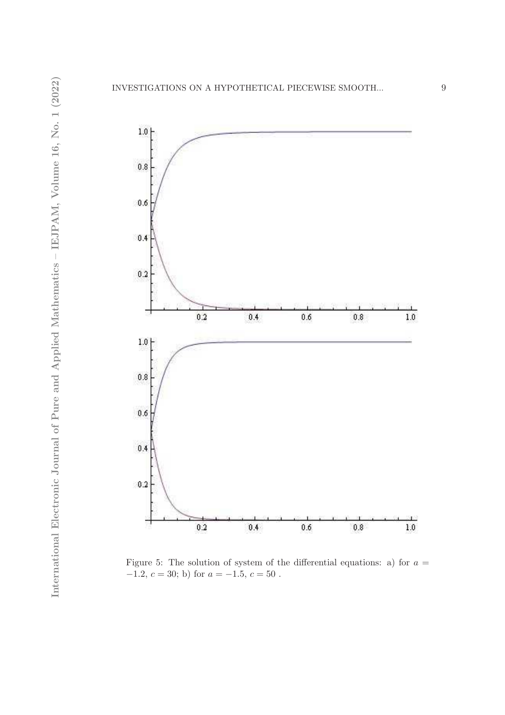

Figure 5: The solution of system of the differential equations: a) for  $a =$  $-1.2, c = 30;$  b) for  $a = -1.5, c = 50$ .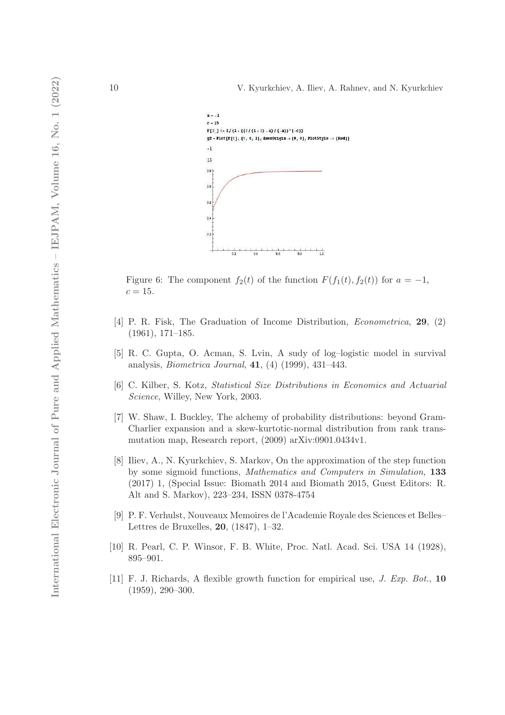

Figure 6: The component  $f_2(t)$  of the function  $F(f_1(t), f_2(t))$  for  $a = -1$ ,  $c = 15$ .

- [4] P. R. Fisk, The Graduation of Income Distribution, Econometrica, 29, (2) (1961), 171–185.
- [5] R. C. Gupta, O. Acman, S. Lvin, A sudy of log–logistic model in survival analysis, Biometrica Journal, 41, (4) (1999), 431–443.
- [6] C. Kilber, S. Kotz, Statistical Size Distributions in Economics and Actuarial Science, Willey, New York, 2003.
- [7] W. Shaw, I. Buckley, The alchemy of probability distributions: beyond Gram-Charlier expansion and a skew-kurtotic-normal distribution from rank transmutation map, Research report, (2009) arXiv:0901.0434v1.
- [8] Iliev, A., N. Kyurkchiev, S. Markov, On the approximation of the step function by some sigmoid functions, Mathematics and Computers in Simulation, 133 (2017) 1, (Special Issue: Biomath 2014 and Biomath 2015, Guest Editors: R. Alt and S. Markov), 223–234, ISSN 0378-4754
- [9] P. F. Verhulst, Nouveaux Memoires de l'Academie Royale des Sciences et Belles– Lettres de Bruxelles, 20, (1847), 1–32.
- [10] R. Pearl, C. P. Winsor, F. B. White, Proc. Natl. Acad. Sci. USA 14 (1928), 895–901.
- [11] F. J. Richards, A flexible growth function for empirical use, J. Exp. Bot., 10 (1959), 290–300.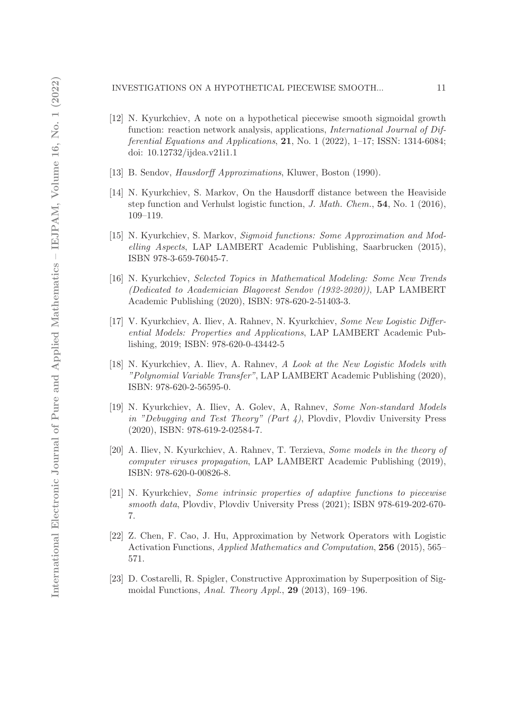#### INVESTIGATIONS ON A HYPOTHETICAL PIECEWISE SMOOTH... 11

- [12] N. Kyurkchiev, A note on a hypothetical piecewise smooth sigmoidal growth function: reaction network analysis, applications, *International Journal of Dif*ferential Equations and Applications,  $21$ , No. 1 (2022), 1–17; ISSN: 1314-6084; doi: 10.12732/ijdea.v21i1.1
- [13] B. Sendov, Hausdorff Approximations, Kluwer, Boston (1990).
- [14] N. Kyurkchiev, S. Markov, On the Hausdorff distance between the Heaviside step function and Verhulst logistic function, J. Math. Chem., 54, No. 1 (2016), 109–119.
- [15] N. Kyurkchiev, S. Markov, Sigmoid functions: Some Approximation and Modelling Aspects, LAP LAMBERT Academic Publishing, Saarbrucken (2015), ISBN 978-3-659-76045-7.
- [16] N. Kyurkchiev, Selected Topics in Mathematical Modeling: Some New Trends (Dedicated to Academician Blagovest Sendov (1932-2020)), LAP LAMBERT Academic Publishing (2020), ISBN: 978-620-2-51403-3.
- [17] V. Kyurkchiev, A. Iliev, A. Rahnev, N. Kyurkchiev, Some New Logistic Differential Models: Properties and Applications, LAP LAMBERT Academic Publishing, 2019; ISBN: 978-620-0-43442-5
- [18] N. Kyurkchiev, A. Iliev, A. Rahnev, A Look at the New Logistic Models with "Polynomial Variable Transfer", LAP LAMBERT Academic Publishing (2020), ISBN: 978-620-2-56595-0.
- [19] N. Kyurkchiev, A. Iliev, A. Golev, A, Rahnev, Some Non-standard Models in "Debugging and Test Theory" (Part 4), Plovdiv, Plovdiv University Press (2020), ISBN: 978-619-2-02584-7.
- [20] A. Iliev, N. Kyurkchiev, A. Rahnev, T. Terzieva, Some models in the theory of computer viruses propagation, LAP LAMBERT Academic Publishing (2019), ISBN: 978-620-0-00826-8.
- [21] N. Kyurkchiev, Some intrinsic properties of adaptive functions to piecewise smooth data, Plovdiv, Plovdiv University Press (2021); ISBN 978-619-202-670- 7.
- [22] Z. Chen, F. Cao, J. Hu, Approximation by Network Operators with Logistic Activation Functions, Applied Mathematics and Computation, 256 (2015), 565– 571.
- [23] D. Costarelli, R. Spigler, Constructive Approximation by Superposition of Sigmoidal Functions, Anal. Theory Appl., 29 (2013), 169–196.